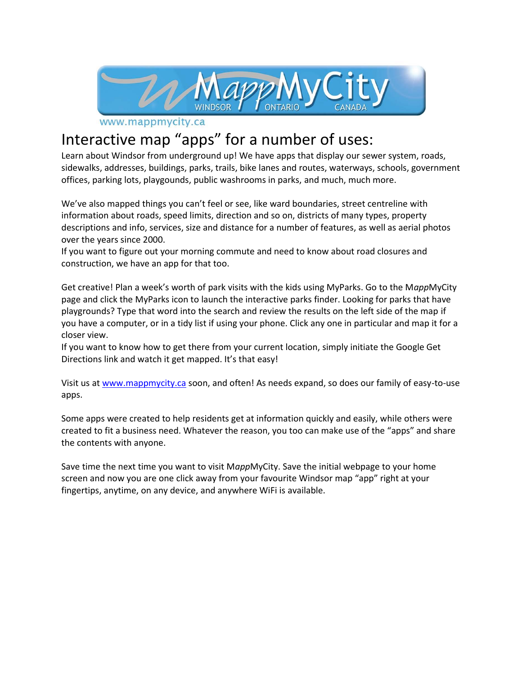

www.mappmycity.ca

## Interactive map "apps" for a number of uses:

Learn about Windsor from underground up! We have apps that display our sewer system, roads, sidewalks, addresses, buildings, parks, trails, bike lanes and routes, waterways, schools, government offices, parking lots, playgounds, public washrooms in parks, and much, much more.

We've also mapped things you can't feel or see, like ward boundaries, street centreline with information about roads, speed limits, direction and so on, districts of many types, property descriptions and info, services, size and distance for a number of features, as well as aerial photos over the years since 2000.

If you want to figure out your morning commute and need to know about road closures and construction, we have an app for that too.

Get creative! Plan a week's worth of park visits with the kids using MyParks. Go to the M*app*MyCity page and click the MyParks icon to launch the interactive parks finder. Looking for parks that have playgrounds? Type that word into the search and review the results on the left side of the map if you have a computer, or in a tidy list if using your phone. Click any one in particular and map it for a closer view.

If you want to know how to get there from your current location, simply initiate the Google Get Directions link and watch it get mapped. It's that easy!

Visit us at [www.mappmycity.ca](http://www.mappmycity.ca/) soon, and often! As needs expand, so does our family of easy-to-use apps.

Some apps were created to help residents get at information quickly and easily, while others were created to fit a business need. Whatever the reason, you too can make use of the "apps" and share the contents with anyone.

Save time the next time you want to visit M*app*MyCity. Save the initial webpage to your home screen and now you are one click away from your favourite Windsor map "app" right at your fingertips, anytime, on any device, and anywhere WiFi is available.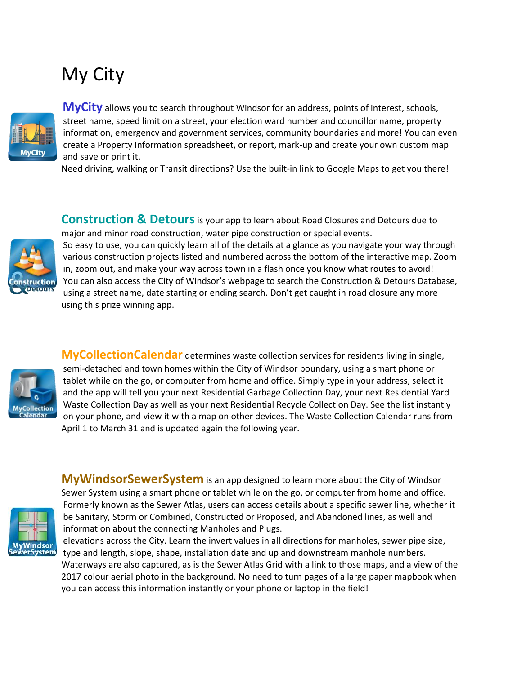## My City



**MyCity** allows you to search throughout Windsor for an address, points of interest, schools, street name, speed limit on a street, your election ward number and councillor name, property information, emergency and government services, community boundaries and more! You can even create a Property Information spreadsheet, or report, mark-up and create your own custom map and save or print it.

Need driving, walking or Transit directions? Use the built-in link to Google Maps to get you there!

**Construction & Detours** is your app to learn about Road Closures and Detours due to major and minor road construction, water pipe construction or special events.



So easy to use, you can quickly learn all of the details at a glance as you navigate your way through various construction projects listed and numbered across the bottom of the interactive map. Zoom in, zoom out, and make your way across town in a flash once you know what routes to avoid! You can also access the City of Windsor's webpage to search the Construction & Detours Database, using a street name, date starting or ending search. Don't get caught in road closure any more using this prize winning app.



**MyCollectionCalendar** determines waste collection services for residents living in single, semi-detached and town homes within the City of Windsor boundary, using a smart phone or tablet while on the go, or computer from home and office. Simply type in your address, select it and the app will tell you your next Residential Garbage Collection Day, your next Residential Yard Waste Collection Day as well as your next Residential Recycle Collection Day. See the list instantly on your phone, and view it with a map on other devices. The Waste Collection Calendar runs from April 1 to March 31 and is updated again the following year.



**MyWindsorSewerSystem** is an app designed to learn more about the City of Windsor Sewer System using a smart phone or tablet while on the go, or computer from home and office. Formerly known as the Sewer Atlas, users can access details about a specific sewer line, whether it be Sanitary, Storm or Combined, Constructed or Proposed, and Abandoned lines, as well and information about the connecting Manholes and Plugs.

elevations across the City. Learn the invert values in all directions for manholes, sewer pipe size, type and length, slope, shape, installation date and up and downstream manhole numbers. Waterways are also captured, as is the Sewer Atlas Grid with a link to those maps, and a view of the 2017 colour aerial photo in the background. No need to turn pages of a large paper mapbook when you can access this information instantly or your phone or laptop in the field!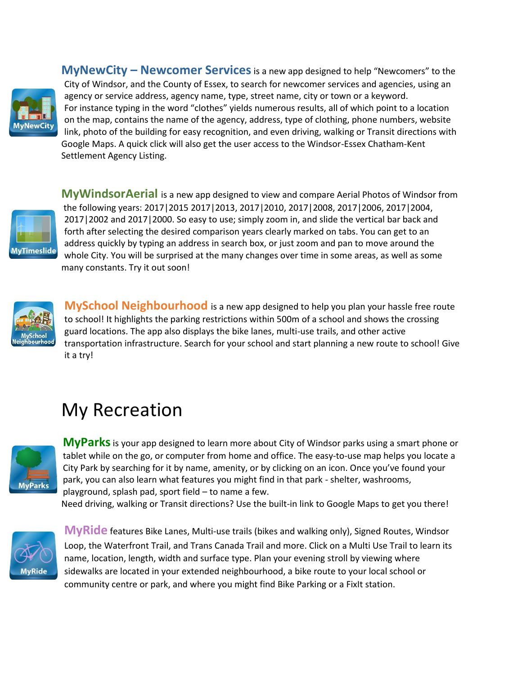

**MyNewCity – Newcomer Services**is a new app designed to help "Newcomers" to the City of Windsor, and the County of Essex, to search for newcomer services and agencies, using an agency or service address, agency name, type, street name, city or town or a keyword. For instance typing in the word "clothes" yields numerous results, all of which point to a location on the map, contains the name of the agency, address, type of clothing, phone numbers, website link, photo of the building for easy recognition, and even driving, walking or Transit directions with Google Maps. A quick click will also get the user access to the Windsor-Essex Chatham-Kent Settlement Agency Listing.



**MyWindsorAerial** is a new app designed to view and compare Aerial Photos of Windsor from the following years: 2017|2015 2017|2013, 2017|2010, 2017|2008, 2017|2006, 2017|2004, 2017|2002 and 2017|2000. So easy to use; simply zoom in, and slide the vertical bar back and forth after selecting the desired comparison years clearly marked on tabs. You can get to an address quickly by typing an address in search box, or just zoom and pan to move around the whole City. You will be surprised at the many changes over time in some areas, as well as some many constants. Try it out soon!



**MySchool Neighbourhood** is a new app designed to help you plan your hassle free route to school! It highlights the parking restrictions within 500m of a school and shows the crossing guard locations. The app also displays the bike lanes, multi-use trails, and other active transportation infrastructure. Search for your school and start planning a new route to school! Give it a try!

## My Recreation



**MyParks**is your app designed to learn more about City of Windsor parks using a smart phone or tablet while on the go, or computer from home and office. The easy-to-use map helps you locate a City Park by searching for it by name, amenity, or by clicking on an icon. Once you've found your park, you can also learn what features you might find in that park - shelter, washrooms, playground, splash pad, sport field – to name a few.

Need driving, walking or Transit directions? Use the built-in link to Google Maps to get you there!



**MyRide** features Bike Lanes, Multi-use trails (bikes and walking only), Signed Routes, Windsor Loop, the Waterfront Trail, and Trans Canada Trail and more. Click on a Multi Use Trail to learn its name, location, length, width and surface type. Plan your evening stroll by viewing where sidewalks are located in your extended neighbourhood, a bike route to your local school or community centre or park, and where you might find Bike Parking or a FixIt station.